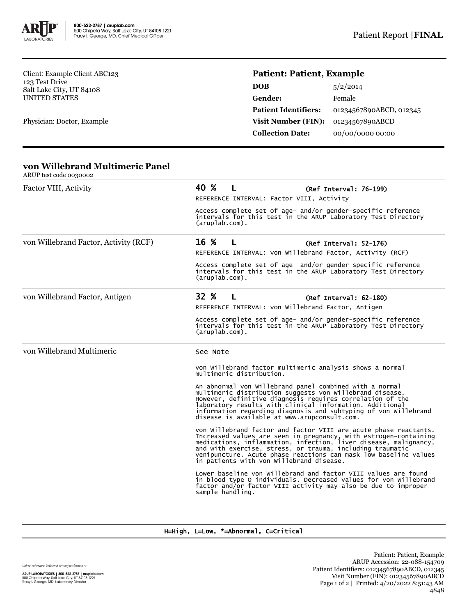

Client: Example Client ABC123 123 Test Drive Salt Lake City, UT 84108 UNITED STATES

Physician: Doctor, Example

# **Patient: Patient, Example**

| <b>DOB</b>                  | 5/2/2014                |
|-----------------------------|-------------------------|
| <b>Gender:</b>              | Female                  |
| <b>Patient Identifiers:</b> | 01234567890ABCD, 012345 |
| <b>Visit Number (FIN):</b>  | 01234567890ABCD         |
| <b>Collection Date:</b>     | 00/00/0000 00:00        |

#### **von Willebrand Multimeric Panel** ARUP test code 0030002

| mol itse tout objecte                 |                                                                                                                                                                                                                                                                                                                                                                                    |  |  |  |
|---------------------------------------|------------------------------------------------------------------------------------------------------------------------------------------------------------------------------------------------------------------------------------------------------------------------------------------------------------------------------------------------------------------------------------|--|--|--|
| Factor VIII, Activity                 | 40 %<br>L<br>(Ref Interval: 76-199)                                                                                                                                                                                                                                                                                                                                                |  |  |  |
|                                       | REFERENCE INTERVAL: Factor VIII, Activity                                                                                                                                                                                                                                                                                                                                          |  |  |  |
|                                       | Access complete set of age- and/or gender-specific reference<br>intervals for this test in the ARUP Laboratory Test Directory<br>$(\text{aruplab.com})$ .                                                                                                                                                                                                                          |  |  |  |
| von Willebrand Factor, Activity (RCF) | 16 %<br>$\mathsf{L}$<br>(Ref Interval: 52-176)                                                                                                                                                                                                                                                                                                                                     |  |  |  |
|                                       | REFERENCE INTERVAL: von Willebrand Factor, Activity (RCF)                                                                                                                                                                                                                                                                                                                          |  |  |  |
|                                       | Access complete set of age- and/or gender-specific reference<br>intervals for this test in the ARUP Laboratory Test Directory<br>$(\text{aruplab.com})$ .                                                                                                                                                                                                                          |  |  |  |
| von Willebrand Factor, Antigen        | 32 %<br>L<br>$(Ref Interval: 62-180)$                                                                                                                                                                                                                                                                                                                                              |  |  |  |
|                                       | REFERENCE INTERVAL: von Willebrand Factor, Antigen                                                                                                                                                                                                                                                                                                                                 |  |  |  |
|                                       | Access complete set of age- and/or gender-specific reference<br>intervals for this test in the ARUP Laboratory Test Directory<br>$(\text{aruplab.com})$ .                                                                                                                                                                                                                          |  |  |  |
| von Willebrand Multimeric             | See Note                                                                                                                                                                                                                                                                                                                                                                           |  |  |  |
|                                       | von Willebrand factor multimeric analysis shows a normal<br>multimeric distribution.                                                                                                                                                                                                                                                                                               |  |  |  |
|                                       | An abnormal von Willebrand panel combined with a normal<br>multimeric distribution suggests von Willebrand disease.<br>However, definitive diagnosis requires correlation of the<br>laboratory results with clinical information. Additional<br>information regarding diagnosis and subtyping of von Willebrand<br>disease is available at www.arupconsult.com.                    |  |  |  |
|                                       | von Willebrand factor and factor VIII are acute phase reactants.<br>Increased values are seen in pregnancy, with estrogen-containing medications, inflammation, infection, liver disease, malignancy,<br>and with exercise, stress, or trauma, including traumatic<br>venipuncture. Acute phase reactions can mask low baseline values<br>in patients with von Willebrand disease. |  |  |  |
|                                       | Lower baseline von Willebrand and factor VIII values are found<br>in blood type O individuals. Decreased values for von willebrand<br>factor and/or factor VIII activity may also be due to improper<br>sample handling.                                                                                                                                                           |  |  |  |

### H=High, L=Low, \*=Abnormal, C=Critical

Unless otherwise indicated, testing performed at: